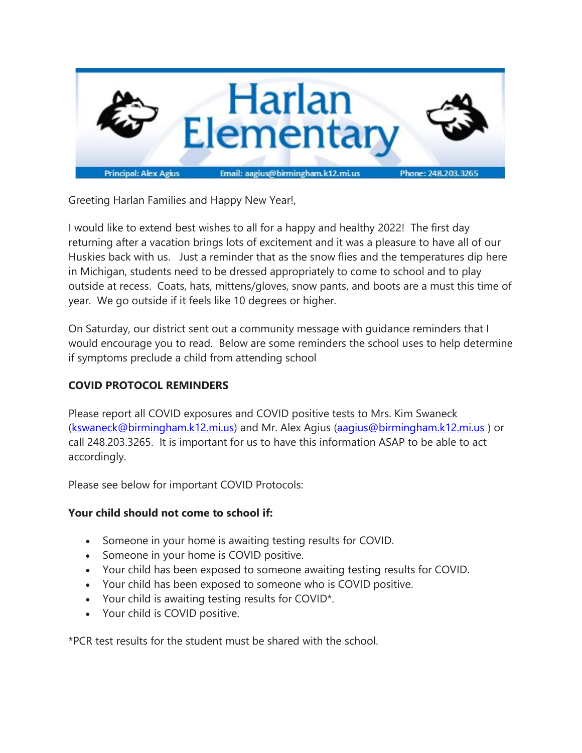

Greeting Harlan Families and Happy New Year!,

I would like to extend best wishes to all for a happy and healthy 2022! The first day returning after a vacation brings lots of excitement and it was a pleasure to have all of our Huskies back with us. Just a reminder that as the snow flies and the temperatures dip here in Michigan, students need to be dressed appropriately to come to school and to play outside at recess. Coats, hats, mittens/gloves, snow pants, and boots are a must this time of year. We go outside if it feels like 10 degrees or higher.

On Saturday, our district sent out a community message with guidance reminders that I would encourage you to read. Below are some reminders the school uses to help determine if symptoms preclude a child from attending school

### **COVID PROTOCOL REMINDERS**

Please report all COVID exposures and COVID positive tests to Mrs. Kim Swaneck [\(kswaneck@birmingham.k12.mi.us\)](mailto:abossio@birmingham.k12.mi.us) and Mr. Alex Agius [\(aagius@birmingham.k12.mi.us](mailto:kvigneron@birmingham.k12..mi.us) ) or call 248.203.3265. It is important for us to have this information ASAP to be able to act accordingly.

Please see below for important COVID Protocols:

#### **Your child should not come to school if:**

- Someone in your home is awaiting testing results for COVID.
- Someone in your home is COVID positive.
- Your child has been exposed to someone awaiting testing results for COVID.
- Your child has been exposed to someone who is COVID positive.
- Your child is awaiting testing results for COVID\*.
- Your child is COVID positive.

\*PCR test results for the student must be shared with the school.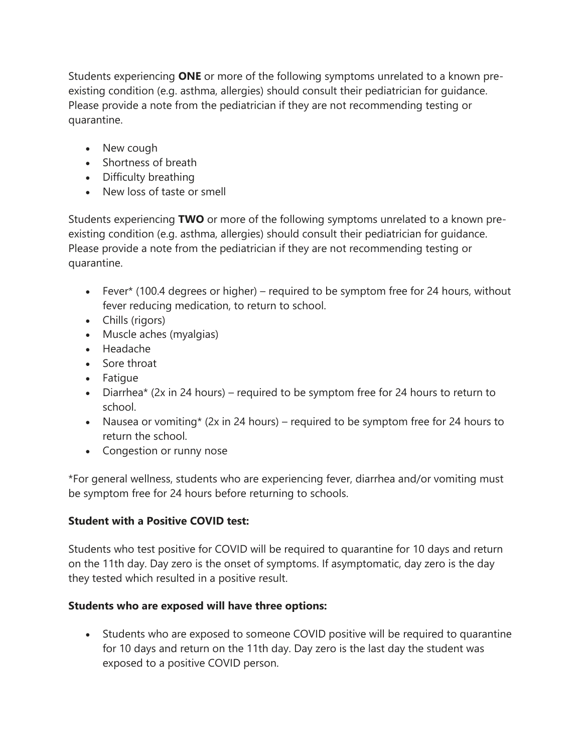Students experiencing **ONE** or more of the following symptoms unrelated to a known preexisting condition (e.g. asthma, allergies) should consult their pediatrician for guidance. Please provide a note from the pediatrician if they are not recommending testing or quarantine.

- New cough
- Shortness of breath
- Difficulty breathing
- New loss of taste or smell

Students experiencing **TWO** or more of the following symptoms unrelated to a known preexisting condition (e.g. asthma, allergies) should consult their pediatrician for guidance. Please provide a note from the pediatrician if they are not recommending testing or quarantine.

- Fever\* (100.4 degrees or higher) required to be symptom free for 24 hours, without fever reducing medication, to return to school.
- Chills (rigors)
- Muscle aches (myalgias)
- Headache
- Sore throat
- Fatigue
- Diarrhea\* (2x in 24 hours) required to be symptom free for 24 hours to return to school.
- Nausea or vomiting\* (2x in 24 hours) required to be symptom free for 24 hours to return the school.
- Congestion or runny nose

\*For general wellness, students who are experiencing fever, diarrhea and/or vomiting must be symptom free for 24 hours before returning to schools.

## **Student with a Positive COVID test:**

Students who test positive for COVID will be required to quarantine for 10 days and return on the 11th day. Day zero is the onset of symptoms. If asymptomatic, day zero is the day they tested which resulted in a positive result.

# **Students who are exposed will have three options:**

• Students who are exposed to someone COVID positive will be required to quarantine for 10 days and return on the 11th day. Day zero is the last day the student was exposed to a positive COVID person.